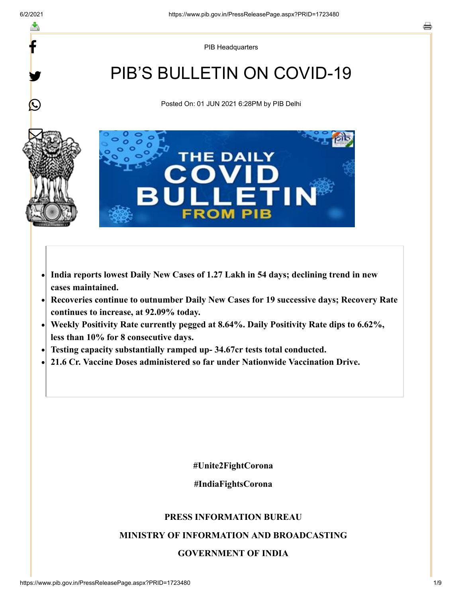f

y.

 $\bm{\mathcal{Q}}$ 

 $\nabla$ 

綴

PIB Headquarters

# PIB'S BULLETIN ON COVID-19

Posted On: 01 JUN 2021 6:28PM by PIB Delhi



- **India reports lowest Daily New Cases of 1.27 Lakh in 54 days; declining trend in new**  $\bullet$ **cases maintained.**
- **Recoveries continue to outnumber Daily New Cases for 19 successive days; Recovery Rate**  $\bullet$ **continues to increase, at 92.09% today.**
- **Weekly Positivity Rate currently pegged at 8.64%. Daily Positivity Rate dips to 6.62%,**  $\bullet$ **less than 10% for 8 consecutive days.**
- **Testing capacity substantially ramped up- 34.67cr tests total conducted.**
- **21.6 Cr. Vaccine Doses administered so far under Nationwide Vaccination Drive.**

**#Unite2FightCorona**

**#IndiaFightsCorona**

## **PRESS INFORMATION BUREAU**

## **MINISTRY OF INFORMATION AND BROADCASTING**

## **GOVERNMENT OF INDIA**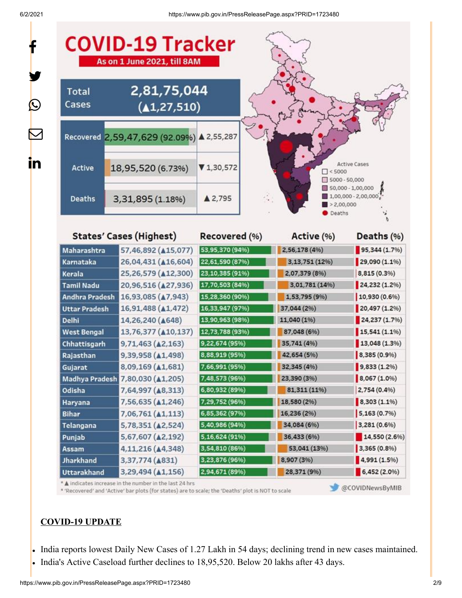f

y.

 $\bm{\mathcal{Q}}$ 

 $\bm{\nabla}$ 

in

| <b>Total</b><br>Cases                  | 2,81,75,044<br>(41, 27, 510)                                  |                                  |                                  |                                             |
|----------------------------------------|---------------------------------------------------------------|----------------------------------|----------------------------------|---------------------------------------------|
|                                        | Recovered 2,59,47,629 (92.09%) ▲ 2,55,287                     |                                  |                                  |                                             |
| Active                                 | 18,95,520 (6.73%)                                             | $\P$ 1,30,572                    | $\Box$ < 5000<br>$5000 - 50,000$ | <b>Active Cases</b>                         |
| <b>Deaths</b>                          | 3,31,895 (1.18%)                                              | ▲ 2,795                          | >2,00,000<br>Deaths              | 50,000 - 1,00,000<br>$1,00,000 - 2,00,000$  |
|                                        | <b>States' Cases (Highest)</b>                                | Recovered (%)                    | Active (%)                       | Deaths (%)                                  |
| Maharashtra                            | 57,46,892 ( $\triangle$ 15,077)                               | 53,95,370 (94%)                  | 2,56,178 (4%)                    | 95,344(1.7%                                 |
| Karnataka                              | 26,04,431 ( $\triangle$ 16,604)                               | 22,61,590 (87%)                  | 3,13,751 (12%)                   | 29,090 (1.1%)                               |
| <b>Kerala</b>                          | 25,26,579 ( $\triangle$ 12,300)                               | 23,10,385 (91%)                  | 2,07,379 (8%)                    | 8,815 (0.3%)                                |
| <b>Tamil Nadu</b>                      | 20,96,516 (427,936)                                           | 17,70,503 (84%)                  | 3,01,781 (14%)                   | 24,232 (1.2%)                               |
| <b>Andhra Pradesh</b>                  | 16,93,085 ( $\triangle$ 7,943)                                | 15,28,360 (90%)                  | 1,53,795 (9%)                    | 10,930 (0.6%)                               |
| <b>Uttar Pradesh</b>                   | 16,91,488 ( $\triangle$ 1,472)                                | 16,33,947 (97%)                  | 37,044 (2%)                      | 20,497 (1.2%)                               |
| <b>Delhi</b>                           | 14,26,240 ( $\triangle$ 648)                                  | 13,90,963 (98%)                  | 11,040 (1%)                      | 24,237(1.7%)                                |
| <b>West Bengal</b>                     | 13,76,377 ( $\triangle$ 10,137)                               | 12,73,788 (93%)                  | 87,048 (6%)                      | 15,541(1.1%                                 |
| Chhattisgarh                           | $9,71,463$ ( $\triangle$ 2,163)                               | 9,22,674 (95%)                   | 35,741 (4%)                      | $13,048(1.3\%)$                             |
| Rajasthan                              | 9,39,958 (41,498)                                             | 8,88,919 (95%)                   | 42,654 (5%)                      | 8,385 (0.9%)                                |
| Gujarat                                | 8,09,169 (A1,681)                                             | 7,66,991 (95%)                   | 32,345 (4%)                      | 9,833(1.2%)                                 |
|                                        | Madhya Pradesh 7,80,030 (41,205)                              | 7,48,573 (96%)                   | 23,390 (3%)                      | 8,067 (1.0%)                                |
| Odisha                                 | 7,64,997 ( $\triangle$ 8,313)                                 | 6,80,932 (89%)                   | 81,311 (11%)                     | 2,754 (0.4%)                                |
| Haryana                                | 7,56,635 ( $\triangle$ 1,246)                                 | 7,29,752 (96%)                   | 18,580 (2%)                      | $8,303(1.1\%)$                              |
| <b>Bihar</b>                           | $7,06,761$ ( $\triangle 1,113$ )                              | 6,85,362 (97%)                   | 16,236 (2%)                      | 5,163(0.7%                                  |
|                                        | 5,78,351 (42,524)                                             | 5,40,986 (94%)                   | 34,084 (6%)                      | 3,281(0.6%)                                 |
| Telangana                              |                                                               |                                  |                                  |                                             |
| Punjab                                 | 5,67,607 (42,192)                                             | 5,16,624 (91%)                   | 36,433 (6%)                      |                                             |
| <b>Assam</b>                           | 4,11,216 (44,348)                                             | 3,54,810 (86%)                   | 53,041 (13%)                     | 3,365 (0.8%)                                |
| <b>Jharkhand</b><br><b>Uttarakhand</b> | 3,37,774 ( $\triangle$ 831)<br>3,29,494 ( $\triangle 1,156$ ) | 3,23,876 (96%)<br>2,94,671 (89%) | 8,907 (3%)<br>28,371 (9%)        | 14,550 (2.6%)<br>4,991(1.5%)<br>6,452(2.0%) |

\* 'Recovered' and 'Active' bar plots (for states) are to scale; the 'Deaths' plot is NOT to scale

OVIDNewsByMIB

## **COVID-19 UPDATE**

- . India reports lowest Daily New Cases of 1.27 Lakh in 54 days; declining trend in new cases maintained.
- India's Active Caseload further declines to 18,95,520. Below 20 lakhs after 43 days.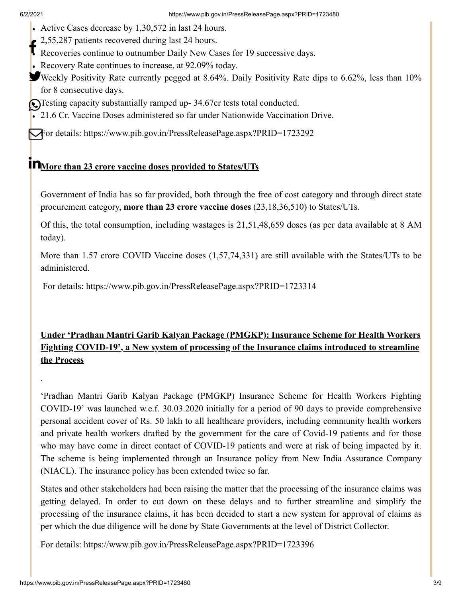.

- Active Cases decrease by 1,30,572 in last 24 hours.
- 2,55,287 patients recovered during last 24 hours.
- E 2,33,267 patients recovered during last 24 hours.<br>Recoveries continue to outnumber Daily New Cases for 19 successive days.
- Recovery Rate continues to increase, at 92.09% today.
- Weekly Positivity Rate currently pegged at 8.64%. Daily Positivity Rate dips to 6.62%, less than 10% for 8 consecutive days.
- Testing capacity substantially ramped up- 34.67cr tests total conducted.
- 21.6 Cr. Vaccine Doses administered so far under Nationwide Vaccination Drive.

For details:<https://www.pib.gov.in/PressReleasePage.aspx?PRID=1723292>

# **More than 23 crore vaccine doses provided to States/UTs**

Government of India has so far provided, both through the free of cost category and through direct state procurement category, **more than 23 crore vaccine doses** (23,18,36,510) to States/UTs.

Of this, the total consumption, including wastages is 21,51,48,659 doses (as per data available at 8 AM today).

More than 1.57 crore COVID Vaccine doses (1,57,74,331) are still available with the States/UTs to be administered.

For details: <https://www.pib.gov.in/PressReleasePage.aspx?PRID=1723314>

# **Under 'Pradhan Mantri Garib Kalyan Package (PMGKP): Insurance Scheme for Health Workers Fighting COVID-19', a New system of processing of the Insurance claims introduced to streamline the Process**

'Pradhan Mantri Garib Kalyan Package (PMGKP) Insurance Scheme for Health Workers Fighting COVID-19' was launched w.e.f. 30.03.2020 initially for a period of 90 days to provide comprehensive personal accident cover of Rs. 50 lakh to all healthcare providers, including community health workers and private health workers drafted by the government for the care of Covid-19 patients and for those who may have come in direct contact of COVID-19 patients and were at risk of being impacted by it. The scheme is being implemented through an Insurance policy from New India Assurance Company (NIACL). The insurance policy has been extended twice so far.

States and other stakeholders had been raising the matter that the processing of the insurance claims was getting delayed. In order to cut down on these delays and to further streamline and simplify the processing of the insurance claims, it has been decided to start a new system for approval of claims as per which the due diligence will be done by State Governments at the level of District Collector.

For details:<https://www.pib.gov.in/PressReleasePage.aspx?PRID=1723396>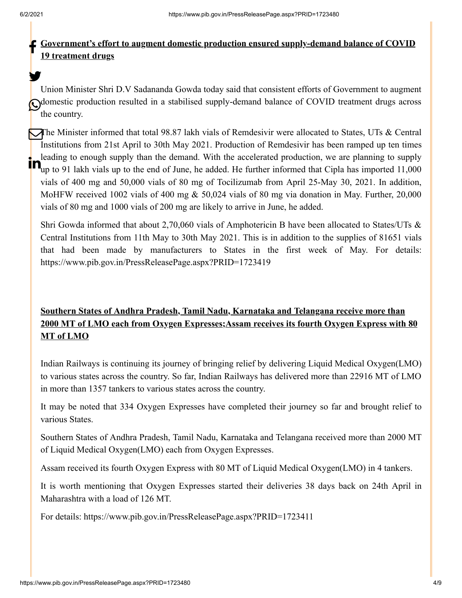y.

#### **Government's effort to augment domestic production ensured supply-demand balance of COVID 19 treatment drugs** f

Union Minister Shri D.V Sadananda Gowda today said that consistent efforts of Government to augment Odomestic production resulted in a stabilised supply-demand balance of COVID treatment drugs across the country.

The Minister informed that total 98.87 lakh vials of Remdesivir were allocated to States, UTs & Central Institutions from 21st April to 30th May 2021. Production of Remdesivir has been ramped up ten times leading to enough supply than the demand. With the accelerated production, we are planning to supply **up** leading to enough supply than the demand. With the accelerated production, we are planning to supply<br>The up to 91 lakh vials up to the end of June, he added. He further informed that Cipla has imported 11,000 vials of 400 mg and 50,000 vials of 80 mg of Tocilizumab from April 25-May 30, 2021. In addition, MoHFW received 1002 vials of 400 mg & 50,024 vials of 80 mg via donation in May. Further, 20,000 vials of 80 mg and 1000 vials of 200 mg are likely to arrive in June, he added.

Shri Gowda informed that about 2,70,060 vials of Amphotericin B have been allocated to States/UTs & Central Institutions from 11th May to 30th May 2021. This is in addition to the supplies of 81651 vials that had been made by manufacturers to States in the first week of May. For details: <https://www.pib.gov.in/PressReleasePage.aspx?PRID=1723419>

# **Southern States of Andhra Pradesh, Tamil Nadu, Karnataka and Telangana receive more than 2000 MT of LMO each from Oxygen Expresses;Assam receives its fourth Oxygen Express with 80 MT of LMO**

Indian Railways is continuing its journey of bringing relief by delivering Liquid Medical Oxygen(LMO) to various states across the country. So far, Indian Railways has delivered more than 22916 MT of LMO in more than 1357 tankers to various states across the country.

It may be noted that 334 Oxygen Expresses have completed their journey so far and brought relief to various States.

Southern States of Andhra Pradesh, Tamil Nadu, Karnataka and Telangana received more than 2000 MT of Liquid Medical Oxygen(LMO) each from Oxygen Expresses.

Assam received its fourth Oxygen Express with 80 MT of Liquid Medical Oxygen(LMO) in 4 tankers.

It is worth mentioning that Oxygen Expresses started their deliveries 38 days back on 24th April in Maharashtra with a load of 126 MT.

For details: <https://www.pib.gov.in/PressReleasePage.aspx?PRID=1723411>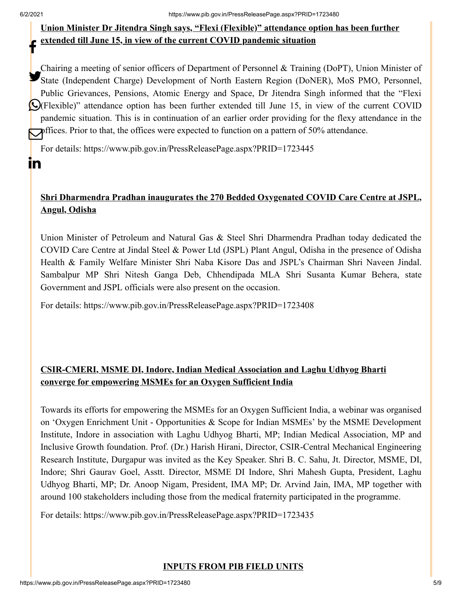$\mathbf{m}$ 

## **Union Minister Dr Jitendra Singh says, "Flexi (Flexible)" attendance option has been further extended till June 15, in view of the current COVID pandemic situation** f

Chairing a meeting of senior officers of Department of Personnel & Training (DoPT), Union Minister of State (Independent Charge) Development of North Eastern Region (DoNER), MoS PMO, Personnel, Public Grievances, Pensions, Atomic Energy and Space, Dr Jitendra Singh informed that the "Flexi (Flexible)" attendance option has been further extended till June 15, in view of the current COVID pandemic situation. This is in continuation of an earlier order providing for the flexy attendance in the offices. Prior to that, the offices were expected to function on a pattern of 50% attendance.

For details: <https://www.pib.gov.in/PressReleasePage.aspx?PRID=1723445>

## **Shri Dharmendra Pradhan inaugurates the 270 Bedded Oxygenated COVID Care Centre at JSPL, Angul, Odisha**

Union Minister of Petroleum and Natural Gas & Steel Shri Dharmendra Pradhan today dedicated the COVID Care Centre at Jindal Steel & Power Ltd (JSPL) Plant Angul, Odisha in the presence of Odisha Health & Family Welfare Minister Shri Naba Kisore Das and JSPL's Chairman Shri Naveen Jindal. Sambalpur MP Shri Nitesh Ganga Deb, Chhendipada MLA Shri Susanta Kumar Behera, state Government and JSPL officials were also present on the occasion.

For details:<https://www.pib.gov.in/PressReleasePage.aspx?PRID=1723408>

## **CSIR-CMERI, MSME DI, Indore, Indian Medical Association and Laghu Udhyog Bharti converge for empowering MSMEs for an Oxygen Sufficient India**

Towards its efforts for empowering the MSMEs for an Oxygen Sufficient India, a webinar was organised on 'Oxygen Enrichment Unit - Opportunities & Scope for Indian MSMEs' by the MSME Development Institute, Indore in association with Laghu Udhyog Bharti, MP; Indian Medical Association, MP and Inclusive Growth foundation. Prof. (Dr.) Harish Hirani, Director, CSIR-Central Mechanical Engineering Research Institute, Durgapur was invited as the Key Speaker. Shri B. C. Sahu, Jt. Director, MSME, DI, Indore; Shri Gaurav Goel, Asstt. Director, MSME DI Indore, Shri Mahesh Gupta, President, Laghu Udhyog Bharti, MP; Dr. Anoop Nigam, President, IMA MP; Dr. Arvind Jain, IMA, MP together with around 100 stakeholders including those from the medical fraternity participated in the programme.

For details: <https://www.pib.gov.in/PressReleasePage.aspx?PRID=1723435>

## **INPUTS FROM PIB FIELD UNITS**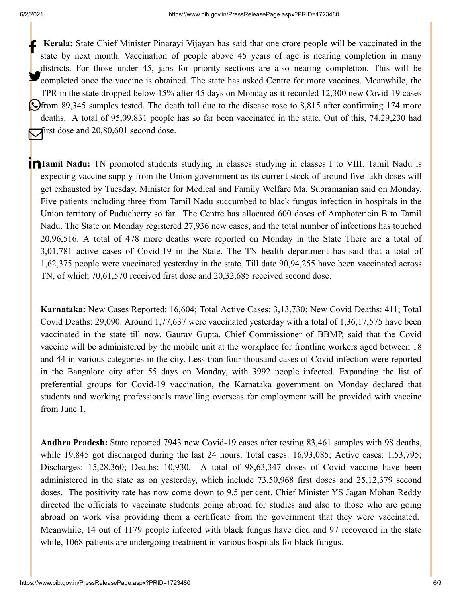**Kerala:** State Chief Minister Pinarayi Vijayan has said that one crore people will be vaccinated in the state by next month. Vaccination of people above 45 years of age is nearing completion in many districts. For those under 45, jabs for priority sections are also nearing completion. This will be completed once the vaccine is obtained. The state has asked Centre for more vaccines. Meanwhile, the TPR in the state dropped below 15% after 45 days on Monday as it recorded 12,300 new Covid-19 cases **O**from 89,345 samples tested. The death toll due to the disease rose to 8,815 after confirming 174 more deaths. A total of 95,09,831 people has so far been vaccinated in the state. Out of this, 74,29,230 had **first dose and 20,80,601 second dose.** 

**Tamil Nadu:** TN promoted students studying in classes studying in classes I to VIII. Tamil Nadu is expecting vaccine supply from the Union government as its current stock of around five lakh doses will get exhausted by Tuesday, Minister for Medical and Family Welfare Ma. Subramanian said on Monday. Five patients including three from Tamil Nadu succumbed to black fungus infection in hospitals in the Union territory of Puducherry so far. The Centre has allocated 600 doses of Amphotericin B to Tamil Nadu. The State on Monday registered 27,936 new cases, and the total number of infections has touched 20,96,516. A total of 478 more deaths were reported on Monday in the State There are a total of 3,01,781 active cases of Covid-19 in the State. The TN health department has said that a total of 1,62,375 people were vaccinated yesterday in the state. Till date 90,94,255 have been vaccinated across TN, of which 70,61,570 received first dose and 20,32,685 received second dose.

**Karnataka:** New Cases Reported: 16,604; Total Active Cases: 3,13,730; New Covid Deaths: 411; Total Covid Deaths: 29,090. Around 1,77,637 were vaccinated yesterday with a total of 1,36,17,575 have been vaccinated in the state till now. Gaurav Gupta, Chief Commissioner of BBMP, said that the Covid vaccine will be administered by the mobile unit at the workplace for frontline workers aged between 18 and 44 in various categories in the city. Less than four thousand cases of Covid infection were reported in the Bangalore city after 55 days on Monday, with 3992 people infected. Expanding the list of preferential groups for Covid-19 vaccination, the Karnataka government on Monday declared that students and working professionals travelling overseas for employment will be provided with vaccine from June 1.

**Andhra Pradesh:** State reported 7943 new Covid-19 cases after testing 83,461 samples with 98 deaths, while 19,845 got discharged during the last 24 hours. Total cases: 16,93,085; Active cases: 1,53,795; Discharges: 15,28,360; Deaths: 10,930. A total of 98,63,347 doses of Covid vaccine have been administered in the state as on yesterday, which include 73,50,968 first doses and 25,12,379 second doses. The positivity rate has now come down to 9.5 per cent. Chief Minister YS Jagan Mohan Reddy directed the officials to vaccinate students going abroad for studies and also to those who are going abroad on work visa providing them a certificate from the government that they were vaccinated. Meanwhile, 14 out of 1179 people infected with black fungus have died and 97 recovered in the state while, 1068 patients are undergoing treatment in various hospitals for black fungus.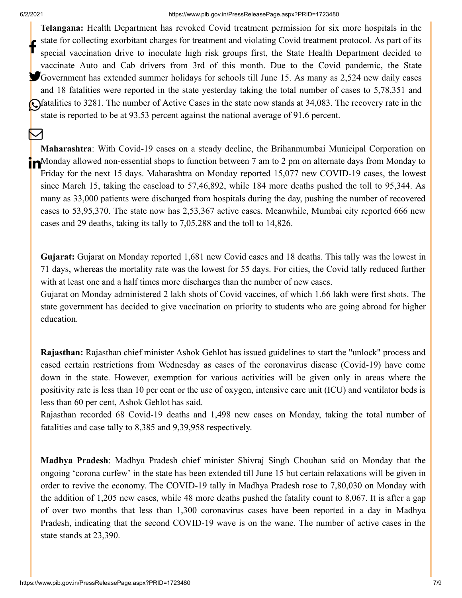M

#### 6/2/2021 https://www.pib.gov.in/PressReleasePage.aspx?PRID=1723480

**Telangana:** Health Department has revoked Covid treatment permission for six more hospitals in the state for collecting exorbitant charges for treatment and violating Covid treatment protocol. As part of its special vaccination drive to inoculate high risk groups first, the State Health Department decided to vaccinate Auto and Cab drivers from 3rd of this month. Due to the Covid pandemic, the State Government has extended summer holidays for schools till June 15. As many as 2,524 new daily cases and 18 fatalities were reported in the state yesterday taking the total number of cases to 5,78,351 and Gfatalities to 3281. The number of Active Cases in the state now stands at 34,083. The recovery rate in the state is reported to be at 93.53 percent against the national average of 91.6 percent. f

**Maharashtra**: With Covid-19 cases on a steady decline, the Brihanmumbai Municipal Corporation on **In**Monday allowed non-essential shops to function between 7 am to 2 pm on alternate days from Monday to Friday for the next 15 days. Maharashtra on Monday reported 15,077 new COVID-19 cases, the lowest since March 15, taking the caseload to 57,46,892, while 184 more deaths pushed the toll to 95,344. As many as 33,000 patients were discharged from hospitals during the day, pushing the number of recovered cases to 53,95,370. The state now has 2,53,367 active cases. Meanwhile, Mumbai city reported 666 new cases and 29 deaths, taking its tally to 7,05,288 and the toll to 14,826.

**Gujarat:** Gujarat on Monday reported 1,681 new Covid cases and 18 deaths. This tally was the lowest in 71 days, whereas the mortality rate was the lowest for 55 days. For cities, the Covid tally reduced further with at least one and a half times more discharges than the number of new cases.

Gujarat on Monday administered 2 lakh shots of Covid vaccines, of which 1.66 lakh were first shots. The state government has decided to give vaccination on priority to students who are going abroad for higher education.

**Rajasthan:** Rajasthan chief minister Ashok Gehlot has issued guidelines to start the "unlock" process and eased certain restrictions from Wednesday as cases of the coronavirus disease (Covid-19) have come down in the state. However, exemption for various activities will be given only in areas where the positivity rate is less than 10 per cent or the use of oxygen, intensive care unit (ICU) and ventilator beds is less than 60 per cent, Ashok Gehlot has said.

Rajasthan recorded 68 Covid-19 deaths and 1,498 new cases on Monday, taking the total number of fatalities and case tally to 8,385 and 9,39,958 respectively.

**Madhya Pradesh**: Madhya Pradesh chief minister Shivraj Singh Chouhan said on Monday that the ongoing 'corona curfew' in the state has been extended till June 15 but certain relaxations will be given in order to revive the economy. The COVID-19 tally in Madhya Pradesh rose to 7,80,030 on Monday with the addition of 1,205 new cases, while 48 more deaths pushed the fatality count to 8,067. It is after a gap of over two months that less than 1,300 coronavirus cases have been reported in a day in Madhya Pradesh, indicating that the second COVID-19 wave is on the wane. The number of active cases in the state stands at 23,390.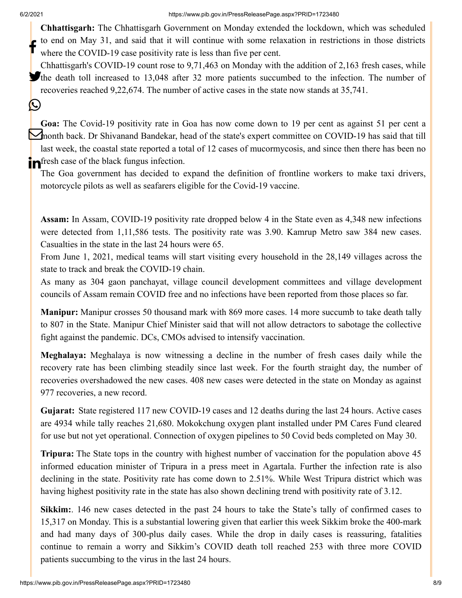$\left(\right)$ 

**Chhattisgarh:** The Chhattisgarh Government on Monday extended the lockdown, which was scheduled to end on May 31, and said that it will continue with some relaxation in restrictions in those districts where the COVID-19 case positivity rate is less than five per cent. f

Chhattisgarh's COVID-19 count rose to 9,71,463 on Monday with the addition of 2,163 fresh cases, while The death toll increased to 13,048 after 32 more patients succumbed to the infection. The number of recoveries reached 9,22,674. The number of active cases in the state now stands at 35,741.

**Goa:** The Covid-19 positivity rate in Goa has now come down to 19 per cent as against 51 per cent a month back. Dr Shivanand Bandekar, head of the state's expert committee on COVID-19 has said that till last week, the coastal state reported a total of 12 cases of mucormycosis, and since then there has been no **in** fresh case of the black fungus infection.

The Goa government has decided to expand the definition of frontline workers to make taxi drivers, motorcycle pilots as well as seafarers eligible for the Covid-19 vaccine.

**Assam:** In Assam, COVID-19 positivity rate dropped below 4 in the State even as 4,348 new infections were detected from 1,11,586 tests. The positivity rate was 3.90. Kamrup Metro saw 384 new cases. Casualties in the state in the last 24 hours were 65.

From June 1, 2021, medical teams will start visiting every household in the 28,149 villages across the state to track and break the COVID-19 chain.

As many as 304 gaon panchayat, village council development committees and village development councils of Assam remain COVID free and no infections have been reported from those places so far.

**Manipur:** Manipur crosses 50 thousand mark with 869 more cases. 14 more succumb to take death tally to 807 in the State. Manipur Chief Minister said that will not allow detractors to sabotage the collective fight against the pandemic. DCs, CMOs advised to intensify vaccination.

**Meghalaya:** Meghalaya is now witnessing a decline in the number of fresh cases daily while the recovery rate has been climbing steadily since last week. For the fourth straight day, the number of recoveries overshadowed the new cases. 408 new cases were detected in the state on Monday as against 977 recoveries, a new record.

**Gujarat:** State registered 117 new COVID-19 cases and 12 deaths during the last 24 hours. Active cases are 4934 while tally reaches 21,680. Mokokchung oxygen plant installed under PM Cares Fund cleared for use but not yet operational. Connection of oxygen pipelines to 50 Covid beds completed on May 30.

**Tripura:** The State tops in the country with highest number of vaccination for the population above 45 informed education minister of Tripura in a press meet in Agartala. Further the infection rate is also declining in the state. Positivity rate has come down to 2.51%. While West Tripura district which was having highest positivity rate in the state has also shown declining trend with positivity rate of 3.12.

**Sikkim:**. 146 new cases detected in the past 24 hours to take the State's tally of confirmed cases to 15,317 on Monday. This is a substantial lowering given that earlier this week Sikkim broke the 400-mark and had many days of 300-plus daily cases. While the drop in daily cases is reassuring, fatalities continue to remain a worry and Sikkim's COVID death toll reached 253 with three more COVID patients succumbing to the virus in the last 24 hours.